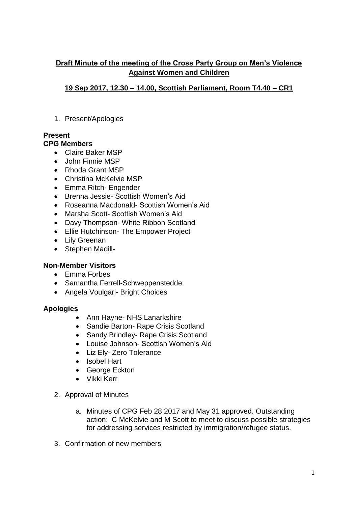## **Draft Minute of the meeting of the Cross Party Group on Men's Violence Against Women and Children**

## **19 Sep 2017, 12.30 – 14.00, Scottish Parliament, Room T4.40 – CR1**

1. Present/Apologies

# **Present**

# **CPG Members**

- Claire Baker MSP
- John Finnie MSP
- Rhoda Grant MSP
- Christina McKelvie MSP
- Emma Ritch- Engender
- Brenna Jessie- Scottish Women's Aid
- Roseanna Macdonald- Scottish Women's Aid
- Marsha Scott- Scottish Women's Aid
- Davy Thompson- White Ribbon Scotland
- Ellie Hutchinson- The Empower Project
- Lilv Greenan
- Stephen Madill-

### **Non-Member Visitors**

- Emma Forbes
- Samantha Ferrell-Schweppenstedde
- Angela Voulgari- Bright Choices

### **Apologies**

- Ann Hayne- NHS Lanarkshire
- Sandie Barton- Rape Crisis Scotland
- Sandy Brindley- Rape Crisis Scotland
- Louise Johnson- Scottish Women's Aid
- Liz Elv- Zero Tolerance
- Isobel Hart
- George Eckton
- Vikki Kerr
- 2. Approval of Minutes
	- a. Minutes of CPG Feb 28 2017 and May 31 approved. Outstanding action: C McKelvie and M Scott to meet to discuss possible strategies for addressing services restricted by immigration/refugee status.
- 3. Confirmation of new members